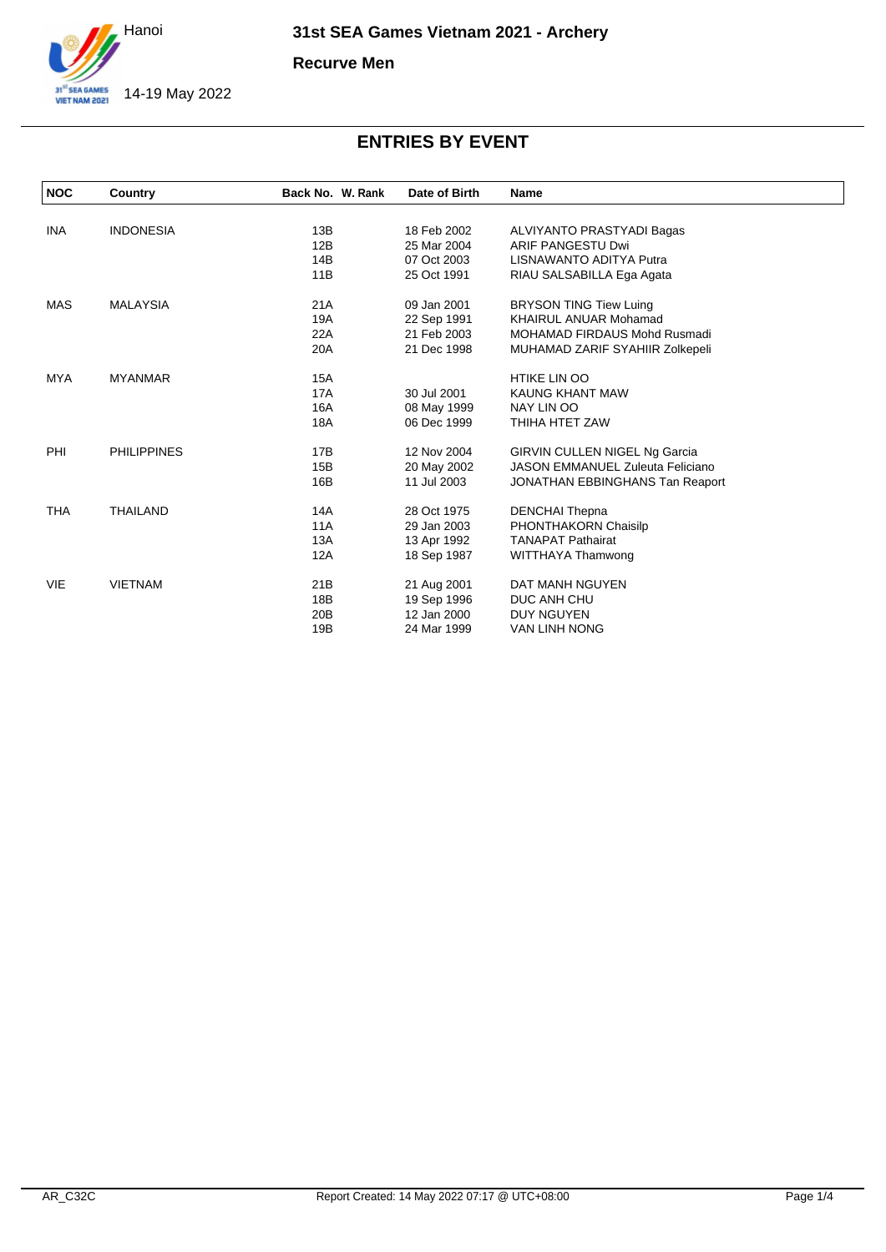

**Recurve Men**

| <b>NOC</b> | Country            | Back No. W. Rank | Date of Birth | <b>Name</b>                             |
|------------|--------------------|------------------|---------------|-----------------------------------------|
|            |                    |                  |               |                                         |
| <b>INA</b> | <b>INDONESIA</b>   | 13B              | 18 Feb 2002   | ALVIYANTO PRASTYADI Bagas               |
|            |                    | 12B              | 25 Mar 2004   | ARIF PANGESTU Dwi                       |
|            |                    | 14B              | 07 Oct 2003   | LISNAWANTO ADITYA Putra                 |
|            |                    | 11B              | 25 Oct 1991   | RIAU SALSABILLA Ega Agata               |
| <b>MAS</b> | <b>MALAYSIA</b>    | 21A              | 09 Jan 2001   | <b>BRYSON TING Tiew Luing</b>           |
|            |                    | 19A              | 22 Sep 1991   | <b>KHAIRUL ANUAR Mohamad</b>            |
|            |                    | 22A              | 21 Feb 2003   | <b>MOHAMAD FIRDAUS Mohd Rusmadi</b>     |
|            |                    | 20A              | 21 Dec 1998   | MUHAMAD ZARIF SYAHIIR Zolkepeli         |
| <b>MYA</b> | <b>MYANMAR</b>     | 15A              |               | <b>HTIKE LIN OO</b>                     |
|            |                    | <b>17A</b>       | 30 Jul 2001   | KAUNG KHANT MAW                         |
|            |                    | 16A              | 08 May 1999   | NAY LIN OO                              |
|            |                    | 18A              | 06 Dec 1999   | THIHA HTET ZAW                          |
| PHI        | <b>PHILIPPINES</b> | 17B              | 12 Nov 2004   | <b>GIRVIN CULLEN NIGEL Ng Garcia</b>    |
|            |                    | 15B              | 20 May 2002   | <b>JASON EMMANUEL Zuleuta Feliciano</b> |
|            |                    | 16B              | 11 Jul 2003   | JONATHAN EBBINGHANS Tan Reaport         |
| <b>THA</b> | THAILAND           | 14A              | 28 Oct 1975   | <b>DENCHAI Thepna</b>                   |
|            |                    | 11A              | 29 Jan 2003   | PHONTHAKORN Chaisilp                    |
|            |                    | 13A              | 13 Apr 1992   | <b>TANAPAT Pathairat</b>                |
|            |                    | 12A              | 18 Sep 1987   | WITTHAYA Thamwong                       |
| <b>VIE</b> | <b>VIETNAM</b>     | 21 <sub>B</sub>  | 21 Aug 2001   | DAT MANH NGUYEN                         |
|            |                    | 18B              | 19 Sep 1996   | DUC ANH CHU                             |
|            |                    | 20B              | 12 Jan 2000   | <b>DUY NGUYEN</b>                       |
|            |                    | 19B              | 24 Mar 1999   | VAN LINH NONG                           |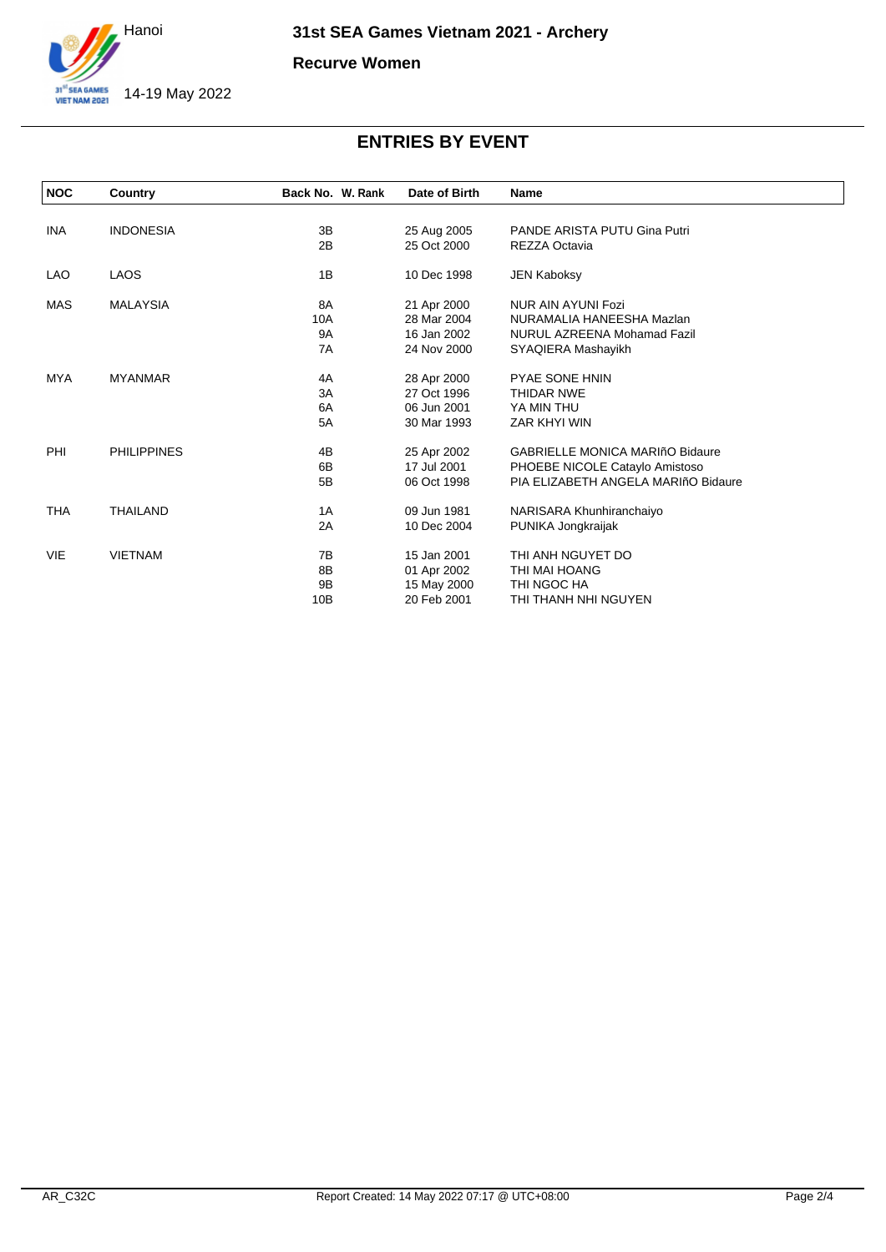

**Recurve Women**

| <b>NOC</b> | Country            | Back No. W. Rank | Date of Birth | Name                                   |
|------------|--------------------|------------------|---------------|----------------------------------------|
|            |                    |                  |               |                                        |
| INA        | <b>INDONESIA</b>   | 3B               | 25 Aug 2005   | PANDE ARISTA PUTU Gina Putri           |
|            |                    | 2B               | 25 Oct 2000   | REZZA Octavia                          |
| LAO        | <b>LAOS</b>        | 1B               | 10 Dec 1998   | <b>JEN Kaboksy</b>                     |
| <b>MAS</b> | <b>MALAYSIA</b>    | 8A               | 21 Apr 2000   | NUR AIN AYUNI Fozi                     |
|            |                    | 10A              | 28 Mar 2004   | NURAMALIA HANEESHA Mazlan              |
|            |                    | <b>9A</b>        | 16 Jan 2002   | NURUL AZREENA Mohamad Fazil            |
|            |                    | 7A               | 24 Nov 2000   | SYAQIERA Mashayikh                     |
| <b>MYA</b> | <b>MYANMAR</b>     | 4A               | 28 Apr 2000   | <b>PYAE SONE HNIN</b>                  |
|            |                    | 3A               | 27 Oct 1996   | <b>THIDAR NWE</b>                      |
|            |                    | 6A               | 06 Jun 2001   | YA MIN THU                             |
|            |                    | 5A               | 30 Mar 1993   | ZAR KHYI WIN                           |
| PHI        | <b>PHILIPPINES</b> | 4B               | 25 Apr 2002   | <b>GABRIELLE MONICA MARIñO Bidaure</b> |
|            |                    | 6B               | 17 Jul 2001   | PHOEBE NICOLE Cataylo Amistoso         |
|            |                    | 5B               | 06 Oct 1998   | PIA ELIZABETH ANGELA MARIñO Bidaure    |
| <b>THA</b> | <b>THAILAND</b>    | 1A               | 09 Jun 1981   | NARISARA Khunhiranchaiyo               |
|            |                    | 2A               | 10 Dec 2004   | PUNIKA Jongkraijak                     |
| <b>VIE</b> | <b>VIETNAM</b>     | 7B               | 15 Jan 2001   | THI ANH NGUYET DO                      |
|            |                    | 8B               | 01 Apr 2002   | THI MAI HOANG                          |
|            |                    | 9B               | 15 May 2000   | THI NGOC HA                            |
|            |                    | 10B              | 20 Feb 2001   | THI THANH NHI NGUYEN                   |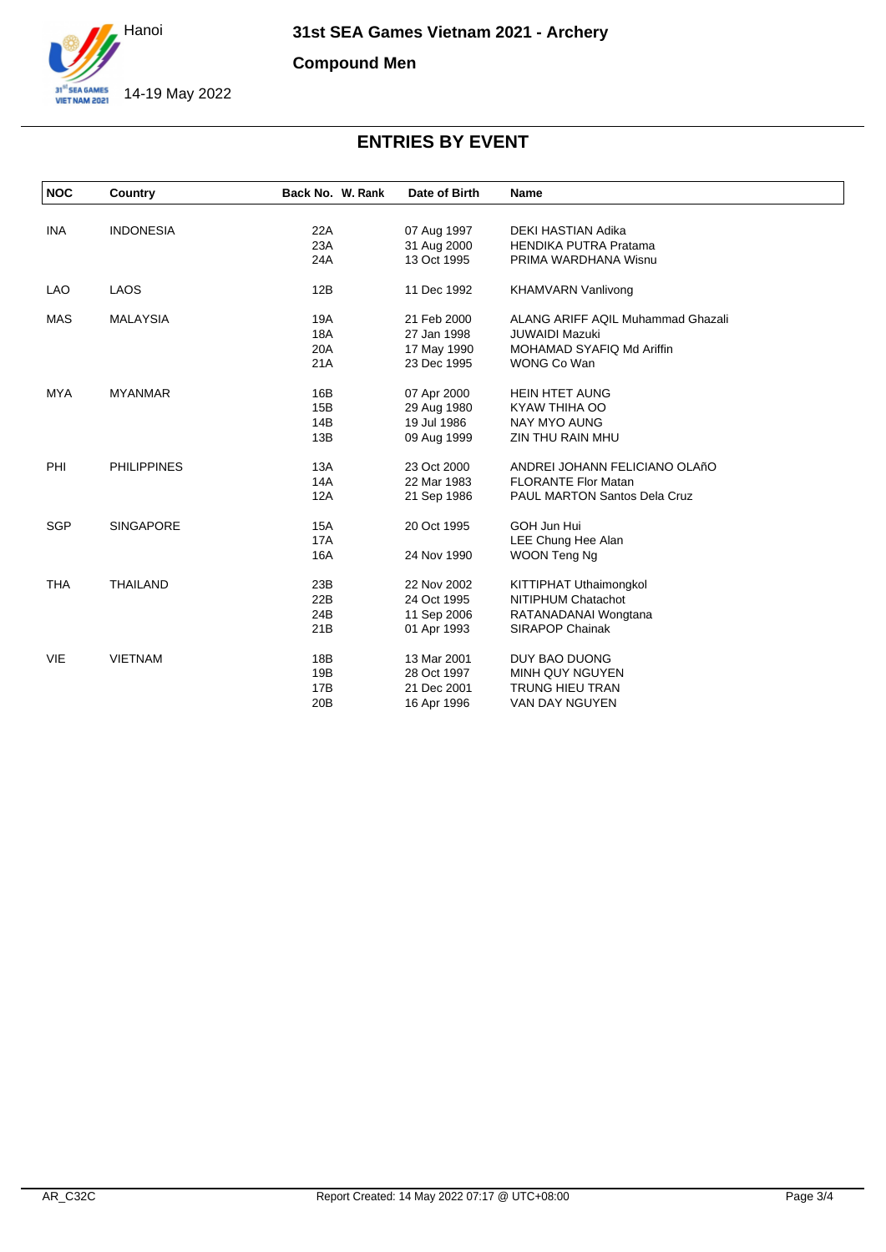

**Compound Men**

| <b>NOC</b> | Country            | Back No. W. Rank | Date of Birth | Name                                     |
|------------|--------------------|------------------|---------------|------------------------------------------|
|            |                    |                  |               |                                          |
| <b>INA</b> | <b>INDONESIA</b>   | 22A              | 07 Aug 1997   | DEKI HASTIAN Adika                       |
|            |                    | 23A              | 31 Aug 2000   | <b>HENDIKA PUTRA Pratama</b>             |
|            |                    | 24A              | 13 Oct 1995   | PRIMA WARDHANA Wisnu                     |
| <b>LAO</b> | <b>LAOS</b>        | 12B              | 11 Dec 1992   | <b>KHAMVARN Vanlivong</b>                |
| <b>MAS</b> | <b>MALAYSIA</b>    | 19A              | 21 Feb 2000   | <b>ALANG ARIFF AQIL Muhammad Ghazali</b> |
|            |                    | <b>18A</b>       | 27 Jan 1998   | <b>JUWAIDI Mazuki</b>                    |
|            |                    | 20A              | 17 May 1990   | MOHAMAD SYAFIQ Md Ariffin                |
|            |                    | 21A              | 23 Dec 1995   | WONG Co Wan                              |
| <b>MYA</b> | <b>MYANMAR</b>     | 16B              | 07 Apr 2000   | <b>HEIN HTET AUNG</b>                    |
|            |                    | 15B              | 29 Aug 1980   | KYAW THIHA OO                            |
|            |                    | 14B              | 19 Jul 1986   | <b>NAY MYO AUNG</b>                      |
|            |                    | 13B              | 09 Aug 1999   | ZIN THU RAIN MHU                         |
| PHI        | <b>PHILIPPINES</b> | 13A              | 23 Oct 2000   | ANDREI JOHANN FELICIANO OLAñO            |
|            |                    | 14A              | 22 Mar 1983   | <b>FLORANTE Flor Matan</b>               |
|            |                    | 12A              | 21 Sep 1986   | PAUL MARTON Santos Dela Cruz             |
| <b>SGP</b> | <b>SINGAPORE</b>   | 15A              | 20 Oct 1995   | GOH Jun Hui                              |
|            |                    | <b>17A</b>       |               | LEE Chung Hee Alan                       |
|            |                    | 16A              | 24 Nov 1990   | WOON Teng Ng                             |
| <b>THA</b> | <b>THAILAND</b>    | 23B              | 22 Nov 2002   | KITTIPHAT Uthaimongkol                   |
|            |                    | 22B              | 24 Oct 1995   | NITIPHUM Chatachot                       |
|            |                    | 24B              | 11 Sep 2006   | RATANADANAI Wongtana                     |
|            |                    | 21B              | 01 Apr 1993   | <b>SIRAPOP Chainak</b>                   |
| <b>VIE</b> | <b>VIETNAM</b>     | 18B              | 13 Mar 2001   | DUY BAO DUONG                            |
|            |                    | 19B              | 28 Oct 1997   | <b>MINH QUY NGUYEN</b>                   |
|            |                    | 17B              | 21 Dec 2001   | TRUNG HIEU TRAN                          |
|            |                    | 20B              | 16 Apr 1996   | VAN DAY NGUYEN                           |